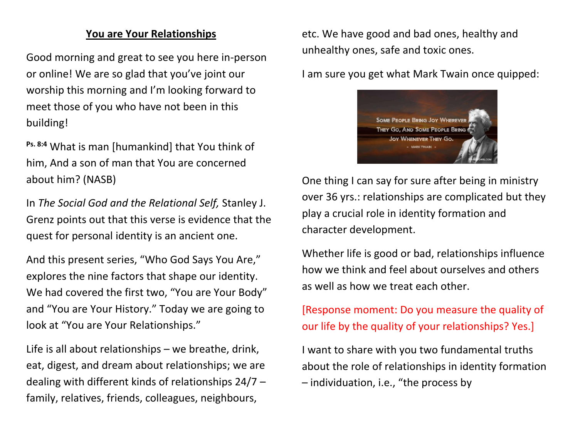#### **You are Your Relationships**

Good morning and great to see you here in-person or online! We are so glad that you've joint our worship this morning and I'm looking forward to meet those of you who have not been in this building!

**Ps. 8:4** What is man [humankind] that You think of him, And a son of man that You are concerned about him? (NASB)

In *The Social God and the Relational Self,* Stanley J. Grenz points out that this verse is evidence that the quest for personal identity is an ancient one.

And this present series, "Who God Says You Are," explores the nine factors that shape our identity. We had covered the first two, "You are Your Body" and "You are Your History." Today we are going to look at "You are Your Relationships."

Life is all about relationships – we breathe, drink, eat, digest, and dream about relationships; we are dealing with different kinds of relationships 24/7 – family, relatives, friends, colleagues, neighbours,

etc. We have good and bad ones, healthy and unhealthy ones, safe and toxic ones.

I am sure you get what Mark Twain once quipped:



One thing I can say for sure after being in ministry over 36 yrs.: relationships are complicated but they play a crucial role in identity formation and character development.

Whether life is good or bad, relationships influence how we think and feel about ourselves and others as well as how we treat each other.

[Response moment: Do you measure the quality of our life by the quality of your relationships? Yes.]

I want to share with you two fundamental truths about the role of relationships in identity formation – individuation, i.e., "the process by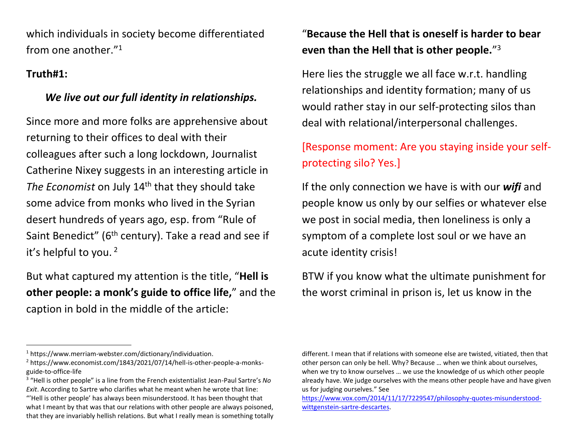which individuals in society become differentiated from one another."<sup>1</sup>

### **Truth#1:**

 $\overline{\phantom{a}}$ 

### *We live out our full identity in relationships.*

Since more and more folks are apprehensive about returning to their offices to deal with their colleagues after such a long lockdown, Journalist Catherine Nixey suggests in an interesting article in The Economist on July 14<sup>th</sup> that they should take some advice from monks who lived in the Syrian desert hundreds of years ago, esp. from "Rule of Saint Benedict" ( $6<sup>th</sup>$  century). Take a read and see if it's helpful to you. <sup>2</sup>

But what captured my attention is the title, "**Hell is other people: a monk's guide to office life,"** and the caption in bold in the middle of the article:

## "**Because the Hell that is oneself is harder to bear even than the Hell that is other people.**" 3

Here lies the struggle we all face w.r.t. handling relationships and identity formation; many of us would rather stay in our self-protecting silos than deal with relational/interpersonal challenges.

# [Response moment: Are you staying inside your selfprotecting silo? Yes.]

If the only connection we have is with our *wifi* and people know us only by our selfies or whatever else we post in social media, then loneliness is only a symptom of a complete lost soul or we have an acute identity crisis!

BTW if you know what the ultimate punishment for the worst criminal in prison is, let us know in the

<sup>1</sup> https://www.merriam-webster.com/dictionary/individuation.

<sup>&</sup>lt;sup>2</sup> https://www.economist.com/1843/2021/07/14/hell-is-other-people-a-monksguide-to-office-life

<sup>3</sup> "Hell is other people" is a line from the French existentialist Jean-Paul Sartre's *No Exit*. According to Sartre who clarifies what he meant when he wrote that line: "'Hell is other people' has always been misunderstood. It has been thought that what I meant by that was that our relations with other people are always poisoned, that they are invariably hellish relations. But what I really mean is something totally

different. I mean that if relations with someone else are twisted, vitiated, then that other person can only be hell. Why? Because … when we think about ourselves, when we try to know ourselves … we use the knowledge of us which other people already have. We judge ourselves with the means other people have and have given us for judging ourselves." See

[https://www.vox.com/2014/11/17/7229547/philosophy-quotes-misunderstood](https://www.vox.com/2014/11/17/7229547/philosophy-quotes-misunderstood-wittgenstein-sartre-descartes)[wittgenstein-sartre-descartes.](https://www.vox.com/2014/11/17/7229547/philosophy-quotes-misunderstood-wittgenstein-sartre-descartes)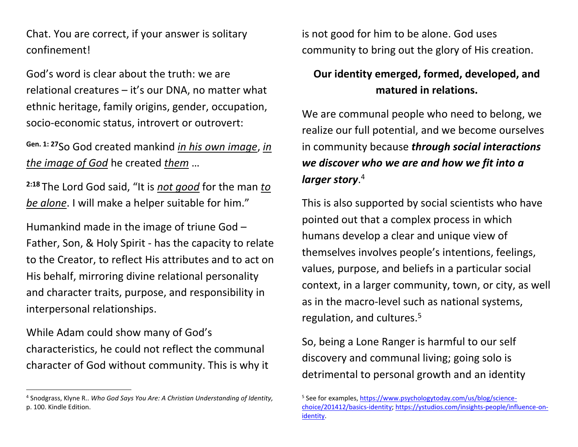Chat. You are correct, if your answer is solitary confinement!

God's word is clear about the truth: we are relational creatures – it's our DNA, no matter what ethnic heritage, family origins, gender, occupation, socio-economic status, introvert or outrovert:

**Gen. 1: <sup>27</sup>**So God created mankind *in his own image*, *in the image of God* he created *them* …

**2:18** The Lord God said, "It is *not good* for the man *to be alone*. I will make a helper suitable for him."

Humankind made in the image of triune God – Father, Son, & Holy Spirit - has the capacity to relate to the Creator, to reflect His attributes and to act on His behalf, mirroring divine relational personality and character traits, purpose, and responsibility in interpersonal relationships.

While Adam could show many of God's characteristics, he could not reflect the communal character of God without community. This is why it

 $\overline{\phantom{a}}$ 

is not good for him to be alone. God uses community to bring out the glory of His creation.

## **Our identity emerged, formed, developed, and matured in relations.**

We are communal people who need to belong, we realize our full potential, and we become ourselves in community because *through social interactions we discover who we are and how we fit into a larger story*. 4

This is also supported by social scientists who have pointed out that a complex process in which humans develop a clear and unique view of themselves involves people's intentions, feelings, values, purpose, and beliefs in a particular social context, in a larger community, town, or city, as well as in the macro-level such as national systems, regulation, and cultures.<sup>5</sup>

So, being a Lone Ranger is harmful to our self discovery and communal living; going solo is detrimental to personal growth and an identity

<sup>4</sup> Snodgrass, Klyne R.. *Who God Says You Are: A Christian Understanding of Identity,* p. 100. Kindle Edition.

<sup>&</sup>lt;sup>5</sup> See for examples, [https://www.psychologytoday.com/us/blog/science](https://www.psychologytoday.com/us/blog/science-choice/201412/basics-identity)[choice/201412/basics-identity;](https://www.psychologytoday.com/us/blog/science-choice/201412/basics-identity) [https://ystudios.com/insights-people/influence-on](https://ystudios.com/insights-people/influence-on-identity)[identity.](https://ystudios.com/insights-people/influence-on-identity)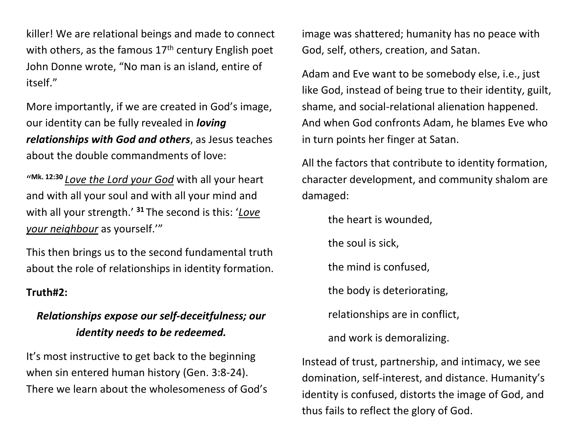killer! We are relational beings and made to connect with others, as the famous  $17<sup>th</sup>$  century English poet John Donne wrote, "No man is an island, entire of itself."

More importantly, if we are created in God's image, our identity can be fully revealed in *loving relationships with God and others*, as Jesus teaches about the double commandments of love:

" **Mk. 12:30** *Love the Lord your God* with all your heart and with all your soul and with all your mind and with all your strength.' **<sup>31</sup>** The second is this: '*Love your neighbour* as yourself.'"

This then brings us to the second fundamental truth about the role of relationships in identity formation.

#### **Truth#2:**

## *Relationships expose our self-deceitfulness; our identity needs to be redeemed.*

It's most instructive to get back to the beginning when sin entered human history (Gen. 3:8-24). There we learn about the wholesomeness of God's image was shattered; humanity has no peace with God, self, others, creation, and Satan.

Adam and Eve want to be somebody else, i.e., just like God, instead of being true to their identity, guilt, shame, and social-relational alienation happened. And when God confronts Adam, he blames Eve who in turn points her finger at Satan.

All the factors that contribute to identity formation, character development, and community shalom are damaged:

the heart is wounded,

the soul is sick,

the mind is confused,

the body is deteriorating,

relationships are in conflict,

and work is demoralizing.

Instead of trust, partnership, and intimacy, we see domination, self-interest, and distance. Humanity's identity is confused, distorts the image of God, and thus fails to reflect the glory of God.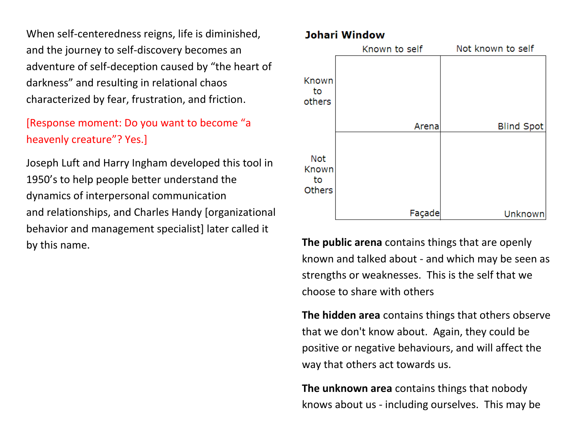When self-centeredness reigns, life is diminished, and the journey to self-discovery becomes an adventure of self-deception caused by "the heart of darkness" and resulting in relational chaos characterized by fear, frustration, and friction.

# [Response moment: Do you want to become "a heavenly creature"? Yes.]

Joseph Luft and Harry Ingham developed this tool in 1950's to help people better understand the dynamics of interpersonal communication and relationships, and Charles Handy [organizational behavior and management specialist] later called it by this name. **The public arena** contains things that are openly

### **Johari Window**



known and talked about - and which may be seen as strengths or weaknesses. This is the self that we choose to share with others

**The hidden area** contains things that others observe that we don't know about. Again, they could be positive or negative behaviours, and will affect the way that others act towards us.

**The unknown area** contains things that nobody knows about us - including ourselves. This may be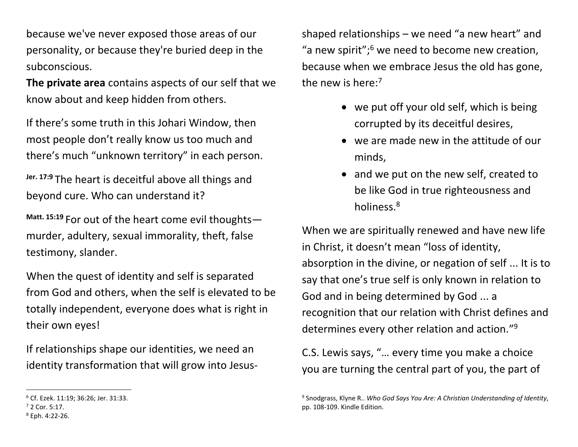because we've never exposed those areas of our personality, or because they're buried deep in the subconscious.

**The private area** contains aspects of our self that we know about and keep hidden from others.

If there's some truth in this Johari Window, then most people don't really know us too much and there's much "unknown territory" in each person.

**Jer. 17:9** The heart is deceitful above all things and beyond cure. Who can understand it?

**Matt. 15:19** For out of the heart come evil thoughts murder, adultery, sexual immorality, theft, false testimony, slander.

When the quest of identity and self is separated from God and others, when the self is elevated to be totally independent, everyone does what is right in their own eyes!

If relationships shape our identities, we need an identity transformation that will grow into Jesus-

 $\overline{\phantom{a}}$ 

shaped relationships – we need "a new heart" and "a new spirit"; $6$  we need to become new creation, because when we embrace Jesus the old has gone, the new is here:<sup>7</sup>

- we put off your old self, which is being corrupted by its deceitful desires,
- we are made new in the attitude of our minds,
- and we put on the new self, created to be like God in true righteousness and holiness.<sup>8</sup>

When we are spiritually renewed and have new life in Christ, it doesn't mean "loss of identity, absorption in the divine, or negation of self ... It is to say that one's true self is only known in relation to God and in being determined by God ... a recognition that our relation with Christ defines and determines every other relation and action."<sup>9</sup>

C.S. Lewis says, "… every time you make a choice you are turning the central part of you, the part of

<sup>6</sup> Cf. Ezek. 11:19; 36:26; Jer. 31:33.

<sup>7</sup> 2 Cor. 5:17.

<sup>8</sup> Eph. 4:22-26.

<sup>9</sup> Snodgrass, Klyne R.. *Who God Says You Are: A Christian Understanding of Identity,* pp. 108-109. Kindle Edition.